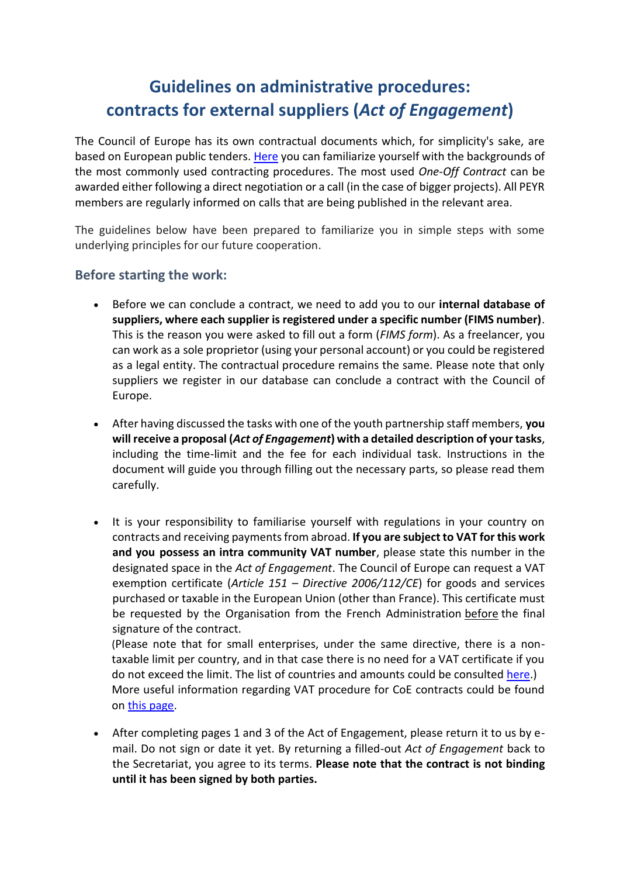## **Guidelines on administrative procedures: contracts for external suppliers (***Act of Engagement***)**

The Council of Europe has its own contractual documents which, for simplicity's sake, are based on European public tenders[. Here](https://www.coe.int/en/web/portal/contracts) you can familiarize yourself with the backgrounds of the most commonly used contracting procedures. The most used *One-Off Contract* can be awarded either following a direct negotiation or a call (in the case of bigger projects). All PEYR members are regularly informed on calls that are being published in the relevant area.

The guidelines below have been prepared to familiarize you in simple steps with some underlying principles for our future cooperation.

## **Before starting the work:**

- Before we can conclude a contract, we need to add you to our **internal database of suppliers, where each supplier is registered under a specific number (FIMS number)**. This is the reason you were asked to fill out a form (*FIMS form*). As a freelancer, you can work as a sole proprietor (using your personal account) or you could be registered as a legal entity. The contractual procedure remains the same. Please note that only suppliers we register in our database can conclude a contract with the Council of Europe.
- After having discussed the tasks with one of the youth partnership staff members, **you will receive a proposal (***Act of Engagement***) with a detailed description of your tasks**, including the time-limit and the fee for each individual task. Instructions in the document will guide you through filling out the necessary parts, so please read them carefully.
- It is your responsibility to familiarise yourself with regulations in your country on contracts and receiving payments from abroad. **If you are subject to VAT for this work and you possess an intra community VAT number**, please state this number in the designated space in the *Act of Engagement*. The Council of Europe can request a VAT exemption certificate (*Article 151 – Directive 2006/112/CE*) for goods and services purchased or taxable in the European Union (other than France). This certificate must be requested by the Organisation from the French Administration before the final signature of the contract.

(Please note that for small enterprises, under the same directive, there is a nontaxable limit per country, and in that case there is no need for a VAT certificate if you do not exceed the limit. The list of countries and amounts could be consulted [here.](https://eur-lex.europa.eu/legal-content/EN/TXT/HTML/?uri=CELEX:32006L0112#d1e7404-1-1)) More useful information regarding VAT procedure for CoE contracts could be found o[n this page.](https://www.coe.int/en/web/portal/vat)

• After completing pages 1 and 3 of the Act of Engagement, please return it to us by email. Do not sign or date it yet. By returning a filled-out *Act of Engagement* back to the Secretariat, you agree to its terms. **Please note that the contract is not binding until it has been signed by both parties.**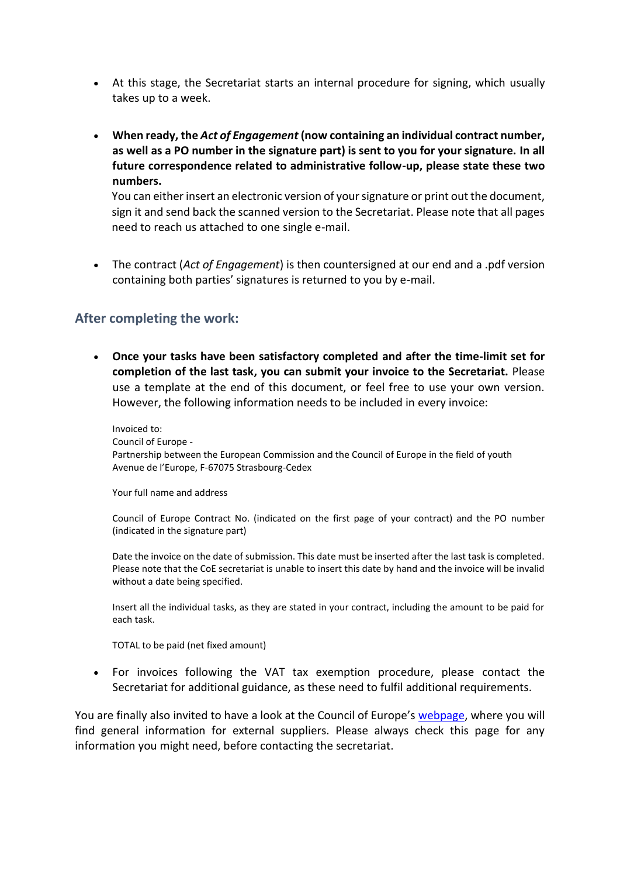- At this stage, the Secretariat starts an internal procedure for signing, which usually takes up to a week.
- **When ready, the** *Act of Engagement* **(now containing an individual contract number, as well as a PO number in the signature part) is sent to you for your signature. In all future correspondence related to administrative follow-up, please state these two numbers.**

You can either insert an electronic version of your signature or print out the document, sign it and send back the scanned version to the Secretariat. Please note that all pages need to reach us attached to one single e-mail.

• The contract (*Act of Engagement*) is then countersigned at our end and a .pdf version containing both parties' signatures is returned to you by e-mail.

## **After completing the work:**

• **Once your tasks have been satisfactory completed and after the time-limit set for completion of the last task, you can submit your invoice to the Secretariat.** Please use a template at the end of this document, or feel free to use your own version. However, the following information needs to be included in every invoice:

Invoiced to: Council of Europe - Partnership between the European Commission and the Council of Europe in the field of youth Avenue de l'Europe, F-67075 Strasbourg-Cedex

Your full name and address

Council of Europe Contract No. (indicated on the first page of your contract) and the PO number (indicated in the signature part)

Date the invoice on the date of submission. This date must be inserted after the last task is completed. Please note that the CoE secretariat is unable to insert this date by hand and the invoice will be invalid without a date being specified.

Insert all the individual tasks, as they are stated in your contract, including the amount to be paid for each task.

TOTAL to be paid (net fixed amount)

• For invoices following the VAT tax exemption procedure, please contact the Secretariat for additional guidance, as these need to fulfil additional requirements.

You are finally also invited to have a look at the Council of Europe's [webpage,](https://www.coe.int/en/web/portal/suppliers-central) where you will find general information for external suppliers. Please always check this page for any information you might need, before contacting the secretariat.